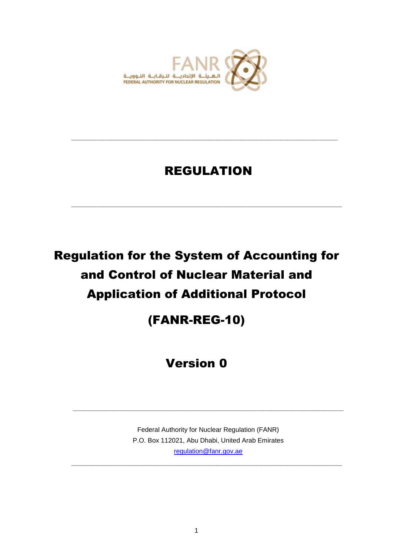

## REGULATION

**\_\_\_\_\_\_\_\_\_\_\_\_\_\_\_\_\_\_\_\_\_\_\_\_\_\_\_\_\_\_\_\_\_\_\_\_\_\_\_\_\_\_\_\_\_\_\_\_\_\_\_\_\_\_\_\_\_\_\_\_\_\_\_\_\_\_\_**

**\_\_\_\_\_\_\_\_\_\_\_\_\_\_\_\_\_\_\_\_\_\_\_\_\_\_\_\_\_\_\_\_\_\_\_\_\_\_\_\_\_\_\_\_\_\_\_\_\_\_\_\_\_\_\_\_\_\_\_\_\_\_\_\_\_\_**

# Regulation for the System of Accounting for and Control of Nuclear Material and Application of Additional Protocol

### (FANR-REG-10)

### Version 0

Federal Authority for Nuclear Regulation (FANR) P.O. Box 112021, Abu Dhabi, United Arab Emirates [regulation@fanr.gov.ae](http://www.fanr.gov.ae/)

**\_\_\_\_\_\_\_\_\_\_\_\_\_\_\_\_\_\_\_\_\_\_\_\_\_\_\_\_\_\_\_\_\_\_\_\_\_\_\_\_\_\_\_\_\_\_\_\_\_\_\_\_\_\_\_\_\_\_\_\_\_\_\_\_\_\_\_**

**\_\_\_\_\_\_\_\_\_\_\_\_\_\_\_\_\_\_\_\_\_\_\_\_\_\_\_\_\_\_\_\_\_\_\_\_\_\_\_\_\_\_\_\_\_\_\_\_\_\_\_\_\_\_\_\_\_\_\_\_\_\_\_\_\_\_\_**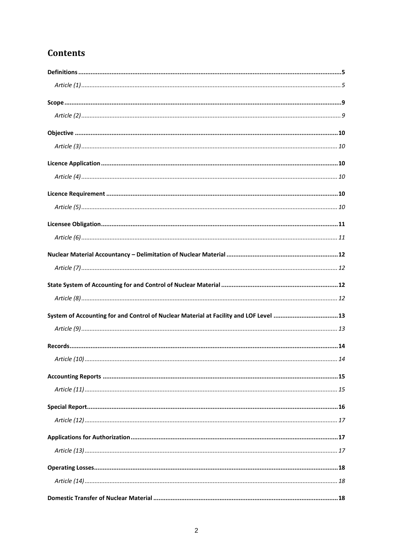### **Contents**

| System of Accounting for and Control of Nuclear Material at Facility and LOF Level 13 |  |
|---------------------------------------------------------------------------------------|--|
|                                                                                       |  |
|                                                                                       |  |
|                                                                                       |  |
|                                                                                       |  |
|                                                                                       |  |
|                                                                                       |  |
|                                                                                       |  |
|                                                                                       |  |
|                                                                                       |  |
|                                                                                       |  |
|                                                                                       |  |
|                                                                                       |  |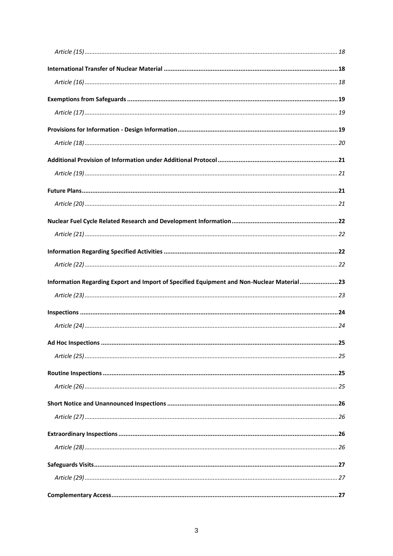| Information Regarding Export and Import of Specified Equipment and Non-Nuclear Material23 |  |
|-------------------------------------------------------------------------------------------|--|
|                                                                                           |  |
|                                                                                           |  |
|                                                                                           |  |
|                                                                                           |  |
|                                                                                           |  |
|                                                                                           |  |
|                                                                                           |  |
|                                                                                           |  |
|                                                                                           |  |
|                                                                                           |  |
|                                                                                           |  |
|                                                                                           |  |
|                                                                                           |  |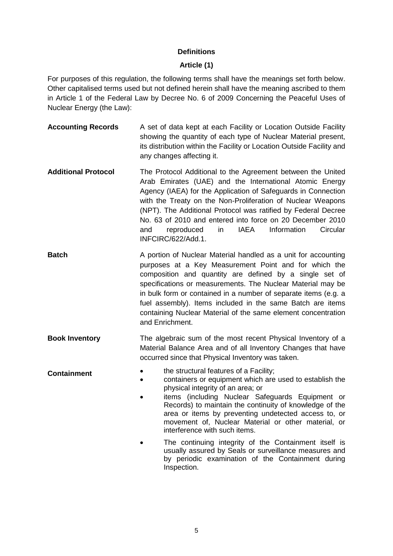#### **Definitions**

#### **Article (1)**

<span id="page-4-1"></span><span id="page-4-0"></span>For purposes of this regulation, the following terms shall have the meanings set forth below. Other capitalised terms used but not defined herein shall have the meaning ascribed to them in Article 1 of the Federal Law by Decree No. 6 of 2009 Concerning the Peaceful Uses of Nuclear Energy (the Law):

- **Accounting Records** A set of data kept at each Facility or Location Outside Facility showing the quantity of each type of Nuclear Material present, its distribution within the Facility or Location Outside Facility and any changes affecting it.
- **Additional Protocol** The Protocol Additional to the Agreement between the United Arab Emirates (UAE) and the International Atomic Energy Agency (IAEA) for the Application of Safeguards in Connection with the Treaty on the Non-Proliferation of Nuclear Weapons (NPT). The Additional Protocol was ratified by Federal Decree No. 63 of 2010 and entered into force on 20 December 2010 and reproduced in IAEA Information Circular INFCIRC/622/Add.1.
- **Batch A** portion of Nuclear Material handled as a unit for accounting purposes at a Key Measurement Point and for which the composition and quantity are defined by a single set of specifications or measurements. The Nuclear Material may be in bulk form or contained in a number of separate items (e.g. a fuel assembly). Items included in the same Batch are items containing Nuclear Material of the same element concentration and Enrichment.
- **Book Inventory** The algebraic sum of the most recent Physical Inventory of a Material Balance Area and of all Inventory Changes that have occurred since that Physical Inventory was taken.
- 
- **Containment the structural features of a Facility;** 
	- containers or equipment which are used to establish the physical integrity of an area; or
	- items (including Nuclear Safeguards Equipment or Records) to maintain the continuity of knowledge of the area or items by preventing undetected access to, or movement of, Nuclear Material or other material, or interference with such items.
	- The continuing integrity of the Containment itself is usually assured by Seals or surveillance measures and by periodic examination of the Containment during Inspection.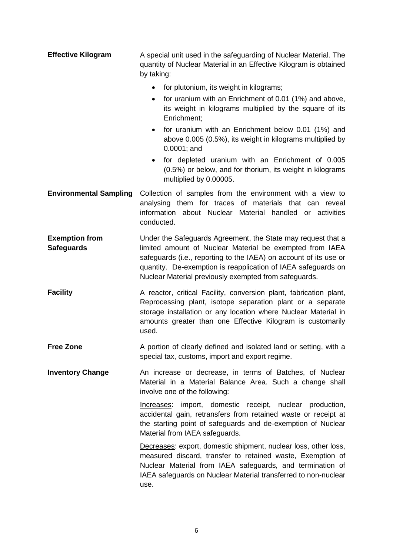| <b>Effective Kilogram</b>                  | A special unit used in the safeguarding of Nuclear Material. The<br>quantity of Nuclear Material in an Effective Kilogram is obtained<br>by taking:                                                                                                                                                                     |  |  |  |  |  |  |  |
|--------------------------------------------|-------------------------------------------------------------------------------------------------------------------------------------------------------------------------------------------------------------------------------------------------------------------------------------------------------------------------|--|--|--|--|--|--|--|
|                                            | for plutonium, its weight in kilograms;<br>$\bullet$                                                                                                                                                                                                                                                                    |  |  |  |  |  |  |  |
|                                            | for uranium with an Enrichment of 0.01 (1%) and above,<br>$\bullet$<br>its weight in kilograms multiplied by the square of its<br>Enrichment;                                                                                                                                                                           |  |  |  |  |  |  |  |
|                                            | for uranium with an Enrichment below 0.01 (1%) and<br>above 0.005 (0.5%), its weight in kilograms multiplied by<br>$0.0001$ ; and                                                                                                                                                                                       |  |  |  |  |  |  |  |
|                                            | for depleted uranium with an Enrichment of 0.005<br>$\bullet$<br>(0.5%) or below, and for thorium, its weight in kilograms<br>multiplied by 0.00005.                                                                                                                                                                    |  |  |  |  |  |  |  |
| <b>Environmental Sampling</b>              | Collection of samples from the environment with a view to<br>analysing them for traces of materials that can reveal<br>information about Nuclear<br>Material handled or activities<br>conducted.                                                                                                                        |  |  |  |  |  |  |  |
| <b>Exemption from</b><br><b>Safeguards</b> | Under the Safeguards Agreement, the State may request that a<br>limited amount of Nuclear Material be exempted from IAEA<br>safeguards (i.e., reporting to the IAEA) on account of its use or<br>quantity. De-exemption is reapplication of IAEA safeguards on<br>Nuclear Material previously exempted from safeguards. |  |  |  |  |  |  |  |
| <b>Facility</b>                            | A reactor, critical Facility, conversion plant, fabrication plant,<br>Reprocessing plant, isotope separation plant or a separate<br>storage installation or any location where Nuclear Material in<br>amounts greater than one Effective Kilogram is customarily<br>used.                                               |  |  |  |  |  |  |  |
| <b>Free Zone</b>                           | A portion of clearly defined and isolated land or setting, with a<br>special tax, customs, import and export regime.                                                                                                                                                                                                    |  |  |  |  |  |  |  |
| <b>Inventory Change</b>                    | An increase or decrease, in terms of Batches, of Nuclear<br>Material in a Material Balance Area. Such a change shall<br>involve one of the following:                                                                                                                                                                   |  |  |  |  |  |  |  |
|                                            | Increases: import, domestic receipt,<br>nuclear<br>production,<br>accidental gain, retransfers from retained waste or receipt at<br>the starting point of safeguards and de-exemption of Nuclear<br>Material from IAEA safeguards.                                                                                      |  |  |  |  |  |  |  |
|                                            | Decreases: export, domestic shipment, nuclear loss, other loss,<br>measured discard, transfer to retained waste, Exemption of<br>Nuclear Material from IAEA safeguards, and termination of<br>IAEA safeguards on Nuclear Material transferred to non-nuclear<br>use.                                                    |  |  |  |  |  |  |  |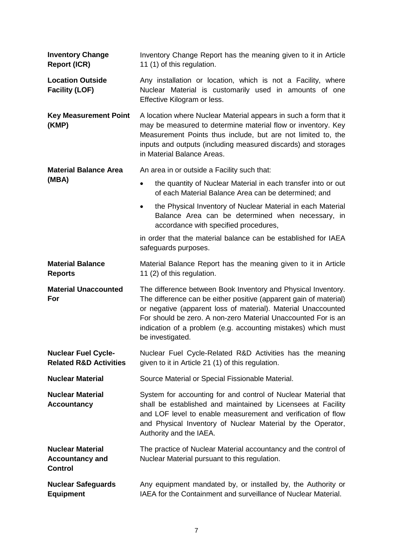| <b>Inventory Change</b><br><b>Report (ICR)</b>                      | Inventory Change Report has the meaning given to it in Article<br>11 (1) of this regulation.                                                                                                                                                                                                                                                              |  |  |  |  |  |  |  |  |
|---------------------------------------------------------------------|-----------------------------------------------------------------------------------------------------------------------------------------------------------------------------------------------------------------------------------------------------------------------------------------------------------------------------------------------------------|--|--|--|--|--|--|--|--|
| <b>Location Outside</b><br><b>Facility (LOF)</b>                    | Any installation or location, which is not a Facility, where<br>Nuclear Material is customarily used in amounts of one<br>Effective Kilogram or less.                                                                                                                                                                                                     |  |  |  |  |  |  |  |  |
| <b>Key Measurement Point</b><br>(KMP)                               | A location where Nuclear Material appears in such a form that it<br>may be measured to determine material flow or inventory. Key<br>Measurement Points thus include, but are not limited to, the<br>inputs and outputs (including measured discards) and storages<br>in Material Balance Areas.                                                           |  |  |  |  |  |  |  |  |
| <b>Material Balance Area</b>                                        | An area in or outside a Facility such that:                                                                                                                                                                                                                                                                                                               |  |  |  |  |  |  |  |  |
| (MBA)                                                               | the quantity of Nuclear Material in each transfer into or out<br>$\bullet$<br>of each Material Balance Area can be determined; and                                                                                                                                                                                                                        |  |  |  |  |  |  |  |  |
|                                                                     | the Physical Inventory of Nuclear Material in each Material<br>٠<br>Balance Area can be determined when necessary, in<br>accordance with specified procedures,                                                                                                                                                                                            |  |  |  |  |  |  |  |  |
|                                                                     | in order that the material balance can be established for IAEA<br>safeguards purposes.                                                                                                                                                                                                                                                                    |  |  |  |  |  |  |  |  |
| <b>Material Balance</b><br><b>Reports</b>                           | Material Balance Report has the meaning given to it in Article<br>11 (2) of this regulation.                                                                                                                                                                                                                                                              |  |  |  |  |  |  |  |  |
| <b>Material Unaccounted</b><br>For                                  | The difference between Book Inventory and Physical Inventory.<br>The difference can be either positive (apparent gain of material)<br>or negative (apparent loss of material). Material Unaccounted<br>For should be zero. A non-zero Material Unaccounted For is an<br>indication of a problem (e.g. accounting mistakes) which must<br>be investigated. |  |  |  |  |  |  |  |  |
| <b>Nuclear Fuel Cycle-</b><br><b>Related R&amp;D Activities</b>     | Nuclear Fuel Cycle-Related R&D Activities has the meaning<br>given to it in Article 21 (1) of this regulation.                                                                                                                                                                                                                                            |  |  |  |  |  |  |  |  |
| <b>Nuclear Material</b>                                             | Source Material or Special Fissionable Material.                                                                                                                                                                                                                                                                                                          |  |  |  |  |  |  |  |  |
| <b>Nuclear Material</b><br><b>Accountancy</b>                       | System for accounting for and control of Nuclear Material that<br>shall be established and maintained by Licensees at Facility<br>and LOF level to enable measurement and verification of flow<br>and Physical Inventory of Nuclear Material by the Operator,<br>Authority and the IAEA.                                                                  |  |  |  |  |  |  |  |  |
| <b>Nuclear Material</b><br><b>Accountancy and</b><br><b>Control</b> | The practice of Nuclear Material accountancy and the control of<br>Nuclear Material pursuant to this regulation.                                                                                                                                                                                                                                          |  |  |  |  |  |  |  |  |
| <b>Nuclear Safeguards</b><br><b>Equipment</b>                       | Any equipment mandated by, or installed by, the Authority or<br>IAEA for the Containment and surveillance of Nuclear Material.                                                                                                                                                                                                                            |  |  |  |  |  |  |  |  |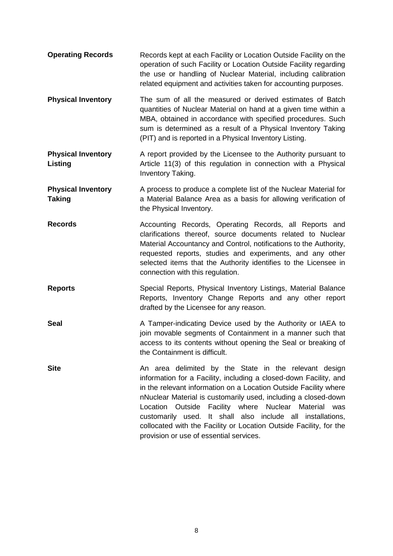| <b>Operating Records</b>             | Records kept at each Facility or Location Outside Facility on the<br>operation of such Facility or Location Outside Facility regarding<br>the use or handling of Nuclear Material, including calibration<br>related equipment and activities taken for accounting purposes.                                                                                                                                                                                                                             |
|--------------------------------------|---------------------------------------------------------------------------------------------------------------------------------------------------------------------------------------------------------------------------------------------------------------------------------------------------------------------------------------------------------------------------------------------------------------------------------------------------------------------------------------------------------|
| <b>Physical Inventory</b>            | The sum of all the measured or derived estimates of Batch<br>quantities of Nuclear Material on hand at a given time within a<br>MBA, obtained in accordance with specified procedures. Such<br>sum is determined as a result of a Physical Inventory Taking<br>(PIT) and is reported in a Physical Inventory Listing.                                                                                                                                                                                   |
| <b>Physical Inventory</b><br>Listing | A report provided by the Licensee to the Authority pursuant to<br>Article 11(3) of this regulation in connection with a Physical<br>Inventory Taking.                                                                                                                                                                                                                                                                                                                                                   |
| <b>Physical Inventory</b><br>Taking  | A process to produce a complete list of the Nuclear Material for<br>a Material Balance Area as a basis for allowing verification of<br>the Physical Inventory.                                                                                                                                                                                                                                                                                                                                          |
| <b>Records</b>                       | Accounting Records, Operating Records, all Reports and<br>clarifications thereof, source documents related to Nuclear<br>Material Accountancy and Control, notifications to the Authority,<br>requested reports, studies and experiments, and any other<br>selected items that the Authority identifies to the Licensee in<br>connection with this regulation.                                                                                                                                          |
| <b>Reports</b>                       | Special Reports, Physical Inventory Listings, Material Balance<br>Reports, Inventory Change Reports and any other report<br>drafted by the Licensee for any reason.                                                                                                                                                                                                                                                                                                                                     |
| Seal                                 | A Tamper-indicating Device used by the Authority or IAEA to<br>join movable segments of Containment in a manner such that<br>access to its contents without opening the Seal or breaking of<br>the Containment is difficult.                                                                                                                                                                                                                                                                            |
| <b>Site</b>                          | An area delimited by the State in the relevant design<br>information for a Facility, including a closed-down Facility, and<br>in the relevant information on a Location Outside Facility where<br>nNuclear Material is customarily used, including a closed-down<br>Location Outside Facility where Nuclear Material was<br>customarily used. It shall also include all installations,<br>collocated with the Facility or Location Outside Facility, for the<br>provision or use of essential services. |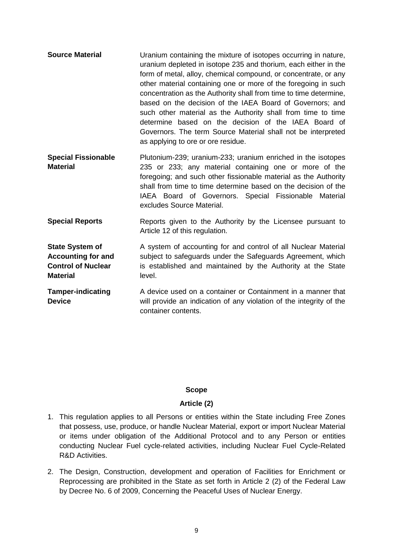| <b>Source Material</b>                                                                              | Uranium containing the mixture of isotopes occurring in nature,<br>uranium depleted in isotope 235 and thorium, each either in the<br>form of metal, alloy, chemical compound, or concentrate, or any<br>other material containing one or more of the foregoing in such<br>concentration as the Authority shall from time to time determine,<br>based on the decision of the IAEA Board of Governors; and<br>such other material as the Authority shall from time to time<br>determine based on the decision of the IAEA Board of<br>Governors. The term Source Material shall not be interpreted<br>as applying to ore or ore residue. |
|-----------------------------------------------------------------------------------------------------|-----------------------------------------------------------------------------------------------------------------------------------------------------------------------------------------------------------------------------------------------------------------------------------------------------------------------------------------------------------------------------------------------------------------------------------------------------------------------------------------------------------------------------------------------------------------------------------------------------------------------------------------|
| <b>Special Fissionable</b><br><b>Material</b>                                                       | Plutonium-239; uranium-233; uranium enriched in the isotopes<br>235 or 233; any material containing one or more of the<br>foregoing; and such other fissionable material as the Authority<br>shall from time to time determine based on the decision of the<br>IAEA Board of Governors. Special Fissionable Material<br>excludes Source Material.                                                                                                                                                                                                                                                                                       |
| <b>Special Reports</b>                                                                              | Reports given to the Authority by the Licensee pursuant to<br>Article 12 of this regulation.                                                                                                                                                                                                                                                                                                                                                                                                                                                                                                                                            |
| <b>State System of</b><br><b>Accounting for and</b><br><b>Control of Nuclear</b><br><b>Material</b> | A system of accounting for and control of all Nuclear Material<br>subject to safeguards under the Safeguards Agreement, which<br>is established and maintained by the Authority at the State<br>level.                                                                                                                                                                                                                                                                                                                                                                                                                                  |
| <b>Tamper-indicating</b><br><b>Device</b>                                                           | A device used on a container or Containment in a manner that<br>will provide an indication of any violation of the integrity of the<br>container contents.                                                                                                                                                                                                                                                                                                                                                                                                                                                                              |

#### **Scope**

#### **Article (2)**

- <span id="page-8-1"></span><span id="page-8-0"></span>1. This regulation applies to all Persons or entities within the State including Free Zones that possess, use, produce, or handle Nuclear Material, export or import Nuclear Material or items under obligation of the Additional Protocol and to any Person or entities conducting Nuclear Fuel cycle-related activities, including Nuclear Fuel Cycle-Related R&D Activities.
- 2. The Design, Construction, development and operation of Facilities for Enrichment or Reprocessing are prohibited in the State as set forth in Article 2 (2) of the Federal Law by Decree No. 6 of 2009, Concerning the Peaceful Uses of Nuclear Energy.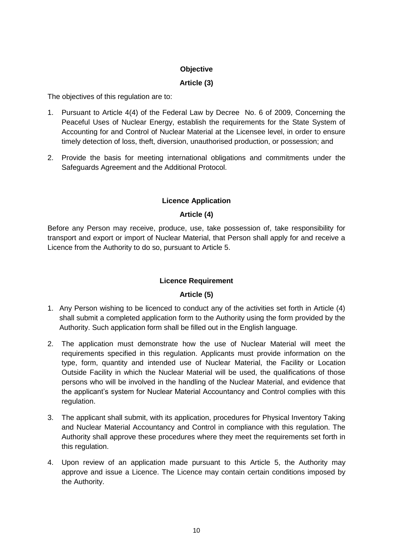#### **Objective**

#### **Article (3)**

<span id="page-9-1"></span><span id="page-9-0"></span>The objectives of this regulation are to:

- 1. Pursuant to Article 4(4) of the Federal Law by Decree No. 6 of 2009, Concerning the Peaceful Uses of Nuclear Energy, establish the requirements for the State System of Accounting for and Control of Nuclear Material at the Licensee level, in order to ensure timely detection of loss, theft, diversion, unauthorised production, or possession; and
- 2. Provide the basis for meeting international obligations and commitments under the Safeguards Agreement and the Additional Protocol.

#### **Licence Application**

#### **Article (4)**

<span id="page-9-3"></span><span id="page-9-2"></span>Before any Person may receive, produce, use, take possession of, take responsibility for transport and export or import of Nuclear Material, that Person shall apply for and receive a Licence from the Authority to do so, pursuant to Article 5.

#### **Licence Requirement**

#### **Article (5)**

- <span id="page-9-5"></span><span id="page-9-4"></span>1. Any Person wishing to be licenced to conduct any of the activities set forth in Article (4) shall submit a completed application form to the Authority using the form provided by the Authority. Such application form shall be filled out in the English language.
- 2. The application must demonstrate how the use of Nuclear Material will meet the requirements specified in this regulation. Applicants must provide information on the type, form, quantity and intended use of Nuclear Material, the Facility or Location Outside Facility in which the Nuclear Material will be used, the qualifications of those persons who will be involved in the handling of the Nuclear Material, and evidence that the applicant's system for Nuclear Material Accountancy and Control complies with this regulation.
- 3. The applicant shall submit, with its application, procedures for Physical Inventory Taking and Nuclear Material Accountancy and Control in compliance with this regulation. The Authority shall approve these procedures where they meet the requirements set forth in this regulation.
- 4. Upon review of an application made pursuant to this Article 5, the Authority may approve and issue a Licence. The Licence may contain certain conditions imposed by the Authority.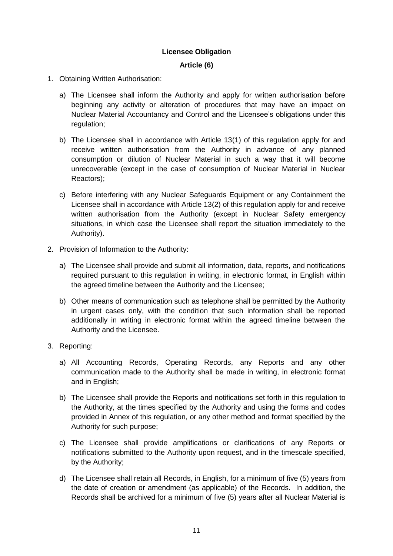#### **Licensee Obligation**

#### **Article (6)**

- <span id="page-10-1"></span><span id="page-10-0"></span>1. Obtaining Written Authorisation:
	- a) The Licensee shall inform the Authority and apply for written authorisation before beginning any activity or alteration of procedures that may have an impact on Nuclear Material Accountancy and Control and the Licensee's obligations under this regulation:
	- b) The Licensee shall in accordance with Article 13(1) of this regulation apply for and receive written authorisation from the Authority in advance of any planned consumption or dilution of Nuclear Material in such a way that it will become unrecoverable (except in the case of consumption of Nuclear Material in Nuclear Reactors);
	- c) Before interfering with any Nuclear Safeguards Equipment or any Containment the Licensee shall in accordance with Article 13(2) of this regulation apply for and receive written authorisation from the Authority (except in Nuclear Safety emergency situations, in which case the Licensee shall report the situation immediately to the Authority).
- 2. Provision of Information to the Authority:
	- a) The Licensee shall provide and submit all information, data, reports, and notifications required pursuant to this regulation in writing, in electronic format, in English within the agreed timeline between the Authority and the Licensee;
	- b) Other means of communication such as telephone shall be permitted by the Authority in urgent cases only, with the condition that such information shall be reported additionally in writing in electronic format within the agreed timeline between the Authority and the Licensee.
- 3. Reporting:
	- a) All Accounting Records, Operating Records, any Reports and any other communication made to the Authority shall be made in writing, in electronic format and in English;
	- b) The Licensee shall provide the Reports and notifications set forth in this regulation to the Authority, at the times specified by the Authority and using the forms and codes provided in Annex of this regulation, or any other method and format specified by the Authority for such purpose;
	- c) The Licensee shall provide amplifications or clarifications of any Reports or notifications submitted to the Authority upon request, and in the timescale specified, by the Authority;
	- d) The Licensee shall retain all Records, in English, for a minimum of five (5) years from the date of creation or amendment (as applicable) of the Records. In addition, the Records shall be archived for a minimum of five (5) years after all Nuclear Material is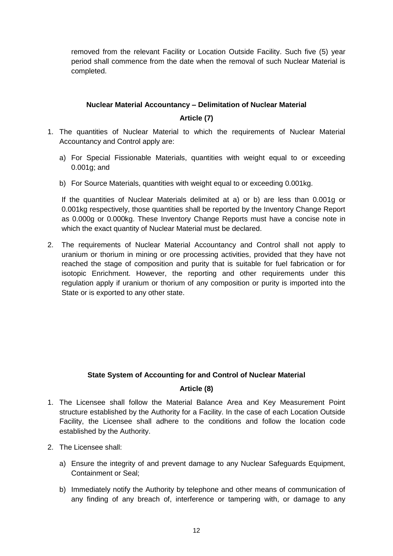removed from the relevant Facility or Location Outside Facility. Such five (5) year period shall commence from the date when the removal of such Nuclear Material is completed.

#### **Nuclear Material Accountancy – Delimitation of Nuclear Material**

#### **Article (7)**

- <span id="page-11-1"></span><span id="page-11-0"></span>1. The quantities of Nuclear Material to which the requirements of Nuclear Material Accountancy and Control apply are:
	- a) For Special Fissionable Materials, quantities with weight equal to or exceeding 0.001g; and
	- b) For Source Materials, quantities with weight equal to or exceeding 0.001kg.

If the quantities of Nuclear Materials delimited at a) or b) are less than 0.001g or 0.001kg respectively, those quantities shall be reported by the Inventory Change Report as 0.000g or 0.000kg. These Inventory Change Reports must have a concise note in which the exact quantity of Nuclear Material must be declared.

2. The requirements of Nuclear Material Accountancy and Control shall not apply to uranium or thorium in mining or ore processing activities, provided that they have not reached the stage of composition and purity that is suitable for fuel fabrication or for isotopic Enrichment. However, the reporting and other requirements under this regulation apply if uranium or thorium of any composition or purity is imported into the State or is exported to any other state.

#### **State System of Accounting for and Control of Nuclear Material**

#### **Article (8)**

- <span id="page-11-3"></span><span id="page-11-2"></span>1. The Licensee shall follow the Material Balance Area and Key Measurement Point structure established by the Authority for a Facility. In the case of each Location Outside Facility, the Licensee shall adhere to the conditions and follow the location code established by the Authority.
- 2. The Licensee shall:
	- a) Ensure the integrity of and prevent damage to any Nuclear Safeguards Equipment, Containment or Seal;
	- b) Immediately notify the Authority by telephone and other means of communication of any finding of any breach of, interference or tampering with, or damage to any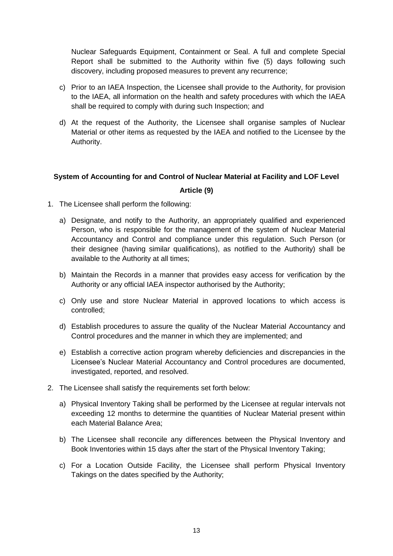Nuclear Safeguards Equipment, Containment or Seal. A full and complete Special Report shall be submitted to the Authority within five (5) days following such discovery, including proposed measures to prevent any recurrence;

- c) Prior to an IAEA Inspection, the Licensee shall provide to the Authority, for provision to the IAEA, all information on the health and safety procedures with which the IAEA shall be required to comply with during such Inspection; and
- d) At the request of the Authority, the Licensee shall organise samples of Nuclear Material or other items as requested by the IAEA and notified to the Licensee by the Authority.

#### <span id="page-12-0"></span>**System of Accounting for and Control of Nuclear Material at Facility and LOF Level**

#### **Article (9)**

- <span id="page-12-1"></span>1. The Licensee shall perform the following:
	- a) Designate, and notify to the Authority, an appropriately qualified and experienced Person, who is responsible for the management of the system of Nuclear Material Accountancy and Control and compliance under this regulation. Such Person (or their designee (having similar qualifications), as notified to the Authority) shall be available to the Authority at all times;
	- b) Maintain the Records in a manner that provides easy access for verification by the Authority or any official IAEA inspector authorised by the Authority;
	- c) Only use and store Nuclear Material in approved locations to which access is controlled;
	- d) Establish procedures to assure the quality of the Nuclear Material Accountancy and Control procedures and the manner in which they are implemented; and
	- e) Establish a corrective action program whereby deficiencies and discrepancies in the Licensee's Nuclear Material Accountancy and Control procedures are documented, investigated, reported, and resolved.
- 2. The Licensee shall satisfy the requirements set forth below:
	- a) Physical Inventory Taking shall be performed by the Licensee at regular intervals not exceeding 12 months to determine the quantities of Nuclear Material present within each Material Balance Area;
	- b) The Licensee shall reconcile any differences between the Physical Inventory and Book Inventories within 15 days after the start of the Physical Inventory Taking;
	- c) For a Location Outside Facility, the Licensee shall perform Physical Inventory Takings on the dates specified by the Authority;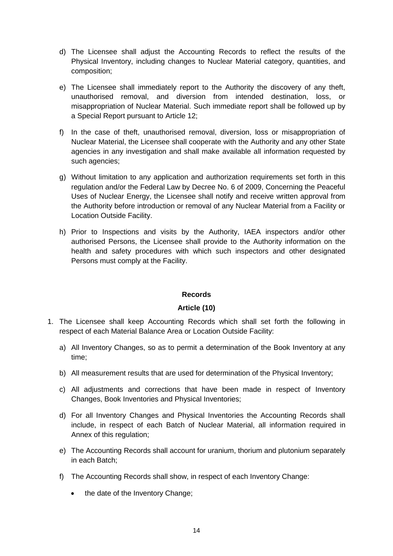- d) The Licensee shall adjust the Accounting Records to reflect the results of the Physical Inventory, including changes to Nuclear Material category, quantities, and composition;
- e) The Licensee shall immediately report to the Authority the discovery of any theft, unauthorised removal, and diversion from intended destination, loss, or misappropriation of Nuclear Material. Such immediate report shall be followed up by a Special Report pursuant to Article 12;
- f) In the case of theft, unauthorised removal, diversion, loss or misappropriation of Nuclear Material, the Licensee shall cooperate with the Authority and any other State agencies in any investigation and shall make available all information requested by such agencies;
- g) Without limitation to any application and authorization requirements set forth in this regulation and/or the Federal Law by Decree No. 6 of 2009, Concerning the Peaceful Uses of Nuclear Energy, the Licensee shall notify and receive written approval from the Authority before introduction or removal of any Nuclear Material from a Facility or Location Outside Facility.
- h) Prior to Inspections and visits by the Authority, IAEA inspectors and/or other authorised Persons, the Licensee shall provide to the Authority information on the health and safety procedures with which such inspectors and other designated Persons must comply at the Facility.

#### **Records**

#### **Article (10)**

- <span id="page-13-1"></span><span id="page-13-0"></span>1. The Licensee shall keep Accounting Records which shall set forth the following in respect of each Material Balance Area or Location Outside Facility:
	- a) All Inventory Changes, so as to permit a determination of the Book Inventory at any time;
	- b) All measurement results that are used for determination of the Physical Inventory;
	- c) All adjustments and corrections that have been made in respect of Inventory Changes, Book Inventories and Physical Inventories;
	- d) For all Inventory Changes and Physical Inventories the Accounting Records shall include, in respect of each Batch of Nuclear Material, all information required in Annex of this regulation;
	- e) The Accounting Records shall account for uranium, thorium and plutonium separately in each Batch;
	- f) The Accounting Records shall show, in respect of each Inventory Change:
		- the date of the Inventory Change;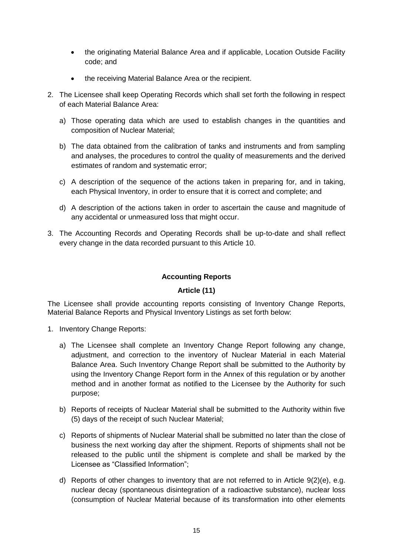- the originating Material Balance Area and if applicable, Location Outside Facility code; and
- the receiving Material Balance Area or the recipient.
- 2. The Licensee shall keep Operating Records which shall set forth the following in respect of each Material Balance Area:
	- a) Those operating data which are used to establish changes in the quantities and composition of Nuclear Material;
	- b) The data obtained from the calibration of tanks and instruments and from sampling and analyses, the procedures to control the quality of measurements and the derived estimates of random and systematic error;
	- c) A description of the sequence of the actions taken in preparing for, and in taking, each Physical Inventory, in order to ensure that it is correct and complete; and
	- d) A description of the actions taken in order to ascertain the cause and magnitude of any accidental or unmeasured loss that might occur.
- 3. The Accounting Records and Operating Records shall be up-to-date and shall reflect every change in the data recorded pursuant to this Article 10.

#### **Accounting Reports**

#### **Article (11)**

<span id="page-14-1"></span><span id="page-14-0"></span>The Licensee shall provide accounting reports consisting of Inventory Change Reports, Material Balance Reports and Physical Inventory Listings as set forth below:

- 1. Inventory Change Reports:
	- a) The Licensee shall complete an Inventory Change Report following any change, adjustment, and correction to the inventory of Nuclear Material in each Material Balance Area. Such Inventory Change Report shall be submitted to the Authority by using the Inventory Change Report form in the Annex of this regulation or by another method and in another format as notified to the Licensee by the Authority for such purpose;
	- b) Reports of receipts of Nuclear Material shall be submitted to the Authority within five (5) days of the receipt of such Nuclear Material;
	- c) Reports of shipments of Nuclear Material shall be submitted no later than the close of business the next working day after the shipment. Reports of shipments shall not be released to the public until the shipment is complete and shall be marked by the Licensee as "Classified Information";
	- d) Reports of other changes to inventory that are not referred to in Article 9(2)(e), e.g. nuclear decay (spontaneous disintegration of a radioactive substance), nuclear loss (consumption of Nuclear Material because of its transformation into other elements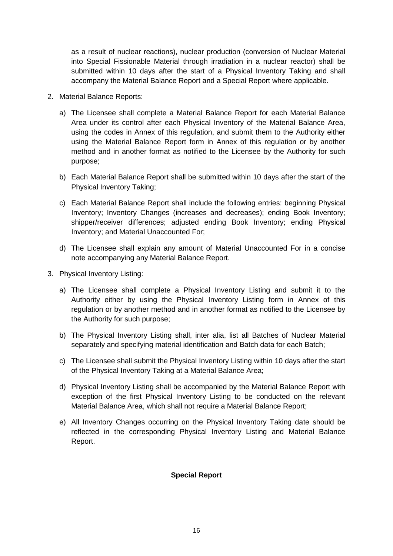as a result of nuclear reactions), nuclear production (conversion of Nuclear Material into Special Fissionable Material through irradiation in a nuclear reactor) shall be submitted within 10 days after the start of a Physical Inventory Taking and shall accompany the Material Balance Report and a Special Report where applicable.

- 2. Material Balance Reports:
	- a) The Licensee shall complete a Material Balance Report for each Material Balance Area under its control after each Physical Inventory of the Material Balance Area, using the codes in Annex of this regulation, and submit them to the Authority either using the Material Balance Report form in Annex of this regulation or by another method and in another format as notified to the Licensee by the Authority for such purpose;
	- b) Each Material Balance Report shall be submitted within 10 days after the start of the Physical Inventory Taking;
	- c) Each Material Balance Report shall include the following entries: beginning Physical Inventory; Inventory Changes (increases and decreases); ending Book Inventory; shipper/receiver differences; adjusted ending Book Inventory; ending Physical Inventory; and Material Unaccounted For;
	- d) The Licensee shall explain any amount of Material Unaccounted For in a concise note accompanying any Material Balance Report.
- 3. Physical Inventory Listing:
	- a) The Licensee shall complete a Physical Inventory Listing and submit it to the Authority either by using the Physical Inventory Listing form in Annex of this regulation or by another method and in another format as notified to the Licensee by the Authority for such purpose;
	- b) The Physical Inventory Listing shall, inter alia, list all Batches of Nuclear Material separately and specifying material identification and Batch data for each Batch;
	- c) The Licensee shall submit the Physical Inventory Listing within 10 days after the start of the Physical Inventory Taking at a Material Balance Area;
	- d) Physical Inventory Listing shall be accompanied by the Material Balance Report with exception of the first Physical Inventory Listing to be conducted on the relevant Material Balance Area, which shall not require a Material Balance Report;
	- e) All Inventory Changes occurring on the Physical Inventory Taking date should be reflected in the corresponding Physical Inventory Listing and Material Balance Report.

#### <span id="page-15-0"></span>**Special Report**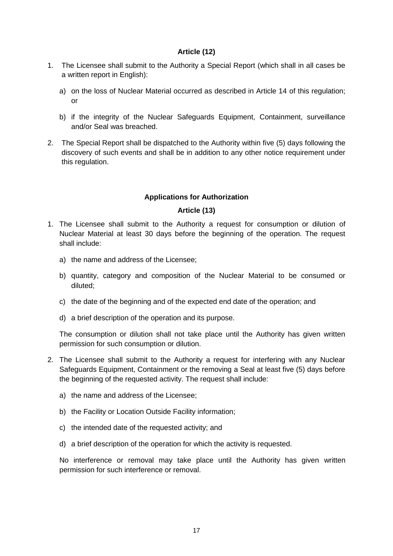#### **Article (12)**

- <span id="page-16-0"></span>1. The Licensee shall submit to the Authority a Special Report (which shall in all cases be a written report in English):
	- a) on the loss of Nuclear Material occurred as described in Article 14 of this regulation; or
	- b) if the integrity of the Nuclear Safeguards Equipment, Containment, surveillance and/or Seal was breached.
- 2. The Special Report shall be dispatched to the Authority within five (5) days following the discovery of such events and shall be in addition to any other notice requirement under this regulation.

#### **Applications for Authorization**

#### **Article (13)**

- <span id="page-16-2"></span><span id="page-16-1"></span>1. The Licensee shall submit to the Authority a request for consumption or dilution of Nuclear Material at least 30 days before the beginning of the operation. The request shall include:
	- a) the name and address of the Licensee;
	- b) quantity, category and composition of the Nuclear Material to be consumed or diluted;
	- c) the date of the beginning and of the expected end date of the operation; and
	- d) a brief description of the operation and its purpose.

The consumption or dilution shall not take place until the Authority has given written permission for such consumption or dilution.

- 2. The Licensee shall submit to the Authority a request for interfering with any Nuclear Safeguards Equipment, Containment or the removing a Seal at least five (5) days before the beginning of the requested activity. The request shall include:
	- a) the name and address of the Licensee;
	- b) the Facility or Location Outside Facility information;
	- c) the intended date of the requested activity; and
	- d) a brief description of the operation for which the activity is requested.

No interference or removal may take place until the Authority has given written permission for such interference or removal.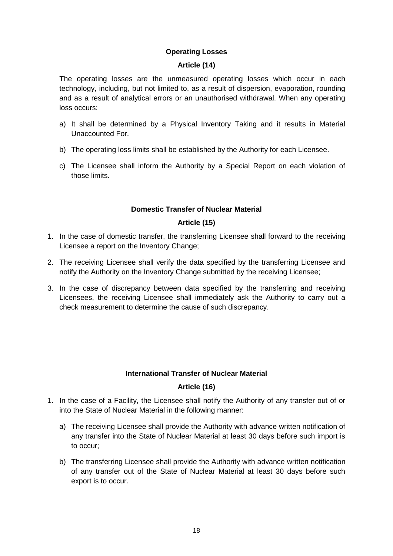#### **Operating Losses**

#### **Article (14)**

<span id="page-17-1"></span><span id="page-17-0"></span>The operating losses are the unmeasured operating losses which occur in each technology, including, but not limited to, as a result of dispersion, evaporation, rounding and as a result of analytical errors or an unauthorised withdrawal. When any operating loss occurs:

- a) It shall be determined by a Physical Inventory Taking and it results in Material Unaccounted For.
- b) The operating loss limits shall be established by the Authority for each Licensee.
- c) The Licensee shall inform the Authority by a Special Report on each violation of those limits.

#### **Domestic Transfer of Nuclear Material**

#### **Article (15)**

- <span id="page-17-3"></span><span id="page-17-2"></span>1. In the case of domestic transfer, the transferring Licensee shall forward to the receiving Licensee a report on the Inventory Change;
- 2. The receiving Licensee shall verify the data specified by the transferring Licensee and notify the Authority on the Inventory Change submitted by the receiving Licensee;
- 3. In the case of discrepancy between data specified by the transferring and receiving Licensees, the receiving Licensee shall immediately ask the Authority to carry out a check measurement to determine the cause of such discrepancy.

#### **International Transfer of Nuclear Material**

#### **Article (16)**

- <span id="page-17-5"></span><span id="page-17-4"></span>1. In the case of a Facility, the Licensee shall notify the Authority of any transfer out of or into the State of Nuclear Material in the following manner:
	- a) The receiving Licensee shall provide the Authority with advance written notification of any transfer into the State of Nuclear Material at least 30 days before such import is to occur;
	- b) The transferring Licensee shall provide the Authority with advance written notification of any transfer out of the State of Nuclear Material at least 30 days before such export is to occur.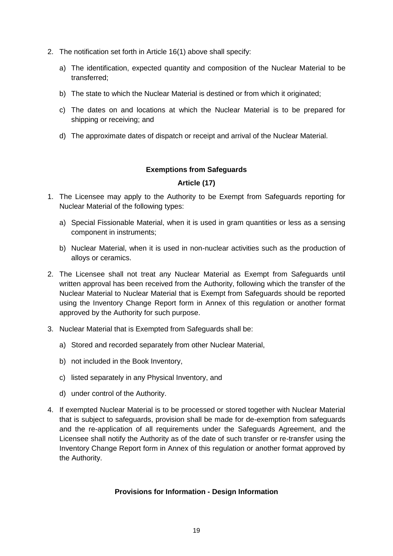- 2. The notification set forth in Article 16(1) above shall specify:
	- a) The identification, expected quantity and composition of the Nuclear Material to be transferred;
	- b) The state to which the Nuclear Material is destined or from which it originated;
	- c) The dates on and locations at which the Nuclear Material is to be prepared for shipping or receiving; and
	- d) The approximate dates of dispatch or receipt and arrival of the Nuclear Material.

#### **Exemptions from Safeguards**

#### **Article (17)**

- <span id="page-18-1"></span><span id="page-18-0"></span>1. The Licensee may apply to the Authority to be Exempt from Safeguards reporting for Nuclear Material of the following types:
	- a) Special Fissionable Material, when it is used in gram quantities or less as a sensing component in instruments;
	- b) Nuclear Material, when it is used in non-nuclear activities such as the production of alloys or ceramics.
- 2. The Licensee shall not treat any Nuclear Material as Exempt from Safeguards until written approval has been received from the Authority, following which the transfer of the Nuclear Material to Nuclear Material that is Exempt from Safeguards should be reported using the Inventory Change Report form in Annex of this regulation or another format approved by the Authority for such purpose.
- 3. Nuclear Material that is Exempted from Safeguards shall be:
	- a) Stored and recorded separately from other Nuclear Material,
	- b) not included in the Book Inventory,
	- c) listed separately in any Physical Inventory, and
	- d) under control of the Authority.
- 4. If exempted Nuclear Material is to be processed or stored together with Nuclear Material that is subject to safeguards, provision shall be made for de-exemption from safeguards and the re-application of all requirements under the Safeguards Agreement, and the Licensee shall notify the Authority as of the date of such transfer or re-transfer using the Inventory Change Report form in Annex of this regulation or another format approved by the Authority.

#### <span id="page-18-2"></span>**Provisions for Information - Design Information**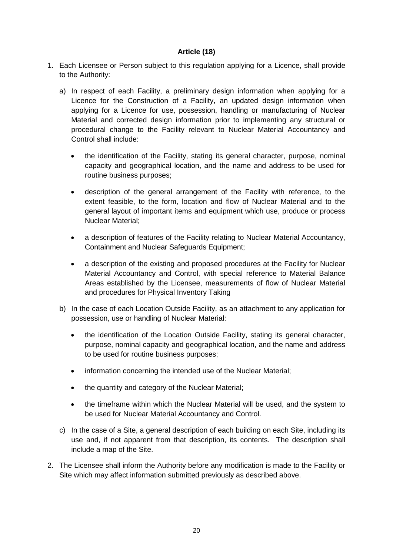#### **Article (18)**

- <span id="page-19-0"></span>1. Each Licensee or Person subject to this regulation applying for a Licence, shall provide to the Authority:
	- a) In respect of each Facility, a preliminary design information when applying for a Licence for the Construction of a Facility, an updated design information when applying for a Licence for use, possession, handling or manufacturing of Nuclear Material and corrected design information prior to implementing any structural or procedural change to the Facility relevant to Nuclear Material Accountancy and Control shall include:
		- the identification of the Facility, stating its general character, purpose, nominal capacity and geographical location, and the name and address to be used for routine business purposes;
		- description of the general arrangement of the Facility with reference, to the extent feasible, to the form, location and flow of Nuclear Material and to the general layout of important items and equipment which use, produce or process Nuclear Material;
		- a description of features of the Facility relating to Nuclear Material Accountancy, Containment and Nuclear Safeguards Equipment;
		- a description of the existing and proposed procedures at the Facility for Nuclear Material Accountancy and Control, with special reference to Material Balance Areas established by the Licensee, measurements of flow of Nuclear Material and procedures for Physical Inventory Taking
	- b) In the case of each Location Outside Facility, as an attachment to any application for possession, use or handling of Nuclear Material:
		- the identification of the Location Outside Facility, stating its general character, purpose, nominal capacity and geographical location, and the name and address to be used for routine business purposes;
		- information concerning the intended use of the Nuclear Material;
		- the quantity and category of the Nuclear Material;
		- the timeframe within which the Nuclear Material will be used, and the system to be used for Nuclear Material Accountancy and Control.
	- c) In the case of a Site, a general description of each building on each Site, including its use and, if not apparent from that description, its contents. The description shall include a map of the Site.
- 2. The Licensee shall inform the Authority before any modification is made to the Facility or Site which may affect information submitted previously as described above.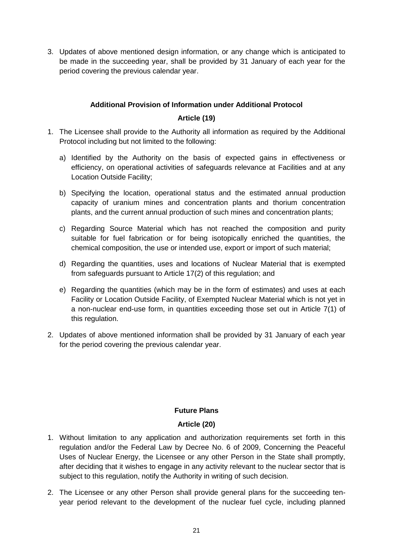3. Updates of above mentioned design information, or any change which is anticipated to be made in the succeeding year, shall be provided by 31 January of each year for the period covering the previous calendar year.

#### **Additional Provision of Information under Additional Protocol**

#### **Article (19)**

- <span id="page-20-1"></span><span id="page-20-0"></span>1. The Licensee shall provide to the Authority all information as required by the Additional Protocol including but not limited to the following:
	- a) Identified by the Authority on the basis of expected gains in effectiveness or efficiency, on operational activities of safeguards relevance at Facilities and at any Location Outside Facility;
	- b) Specifying the location, operational status and the estimated annual production capacity of uranium mines and concentration plants and thorium concentration plants, and the current annual production of such mines and concentration plants;
	- c) Regarding Source Material which has not reached the composition and purity suitable for fuel fabrication or for being isotopically enriched the quantities, the chemical composition, the use or intended use, export or import of such material;
	- d) Regarding the quantities, uses and locations of Nuclear Material that is exempted from safeguards pursuant to Article 17(2) of this regulation; and
	- e) Regarding the quantities (which may be in the form of estimates) and uses at each Facility or Location Outside Facility, of Exempted Nuclear Material which is not yet in a non-nuclear end-use form, in quantities exceeding those set out in Article 7(1) of this regulation.
- 2. Updates of above mentioned information shall be provided by 31 January of each year for the period covering the previous calendar year.

#### **Future Plans**

#### **Article (20)**

- <span id="page-20-3"></span><span id="page-20-2"></span>1. Without limitation to any application and authorization requirements set forth in this regulation and/or the Federal Law by Decree No. 6 of 2009, Concerning the Peaceful Uses of Nuclear Energy, the Licensee or any other Person in the State shall promptly, after deciding that it wishes to engage in any activity relevant to the nuclear sector that is subject to this regulation, notify the Authority in writing of such decision.
- 2. The Licensee or any other Person shall provide general plans for the succeeding tenyear period relevant to the development of the nuclear fuel cycle, including planned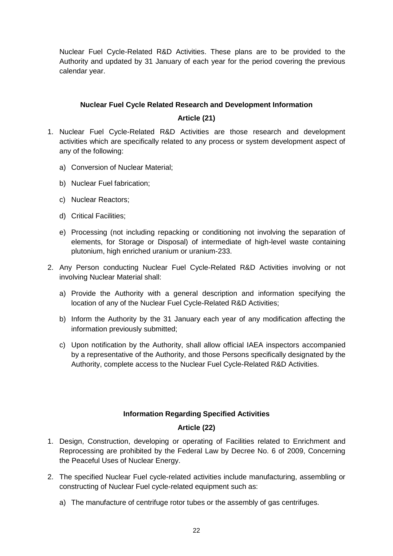Nuclear Fuel Cycle-Related R&D Activities. These plans are to be provided to the Authority and updated by 31 January of each year for the period covering the previous calendar year.

#### **Nuclear Fuel Cycle Related Research and Development Information**

#### **Article (21)**

- <span id="page-21-1"></span><span id="page-21-0"></span>1. Nuclear Fuel Cycle-Related R&D Activities are those research and development activities which are specifically related to any process or system development aspect of any of the following:
	- a) Conversion of Nuclear Material;
	- b) Nuclear Fuel fabrication;
	- c) Nuclear Reactors;
	- d) Critical Facilities;
	- e) Processing (not including repacking or conditioning not involving the separation of elements, for Storage or Disposal) of intermediate of high-level waste containing plutonium, high enriched uranium or uranium-233.
- 2. Any Person conducting Nuclear Fuel Cycle-Related R&D Activities involving or not involving Nuclear Material shall:
	- a) Provide the Authority with a general description and information specifying the location of any of the Nuclear Fuel Cycle-Related R&D Activities;
	- b) Inform the Authority by the 31 January each year of any modification affecting the information previously submitted;
	- c) Upon notification by the Authority, shall allow official IAEA inspectors accompanied by a representative of the Authority, and those Persons specifically designated by the Authority, complete access to the Nuclear Fuel Cycle-Related R&D Activities.

#### **Information Regarding Specified Activities**

#### **Article (22)**

- <span id="page-21-3"></span><span id="page-21-2"></span>1. Design, Construction, developing or operating of Facilities related to Enrichment and Reprocessing are prohibited by the Federal Law by Decree No. 6 of 2009, Concerning the Peaceful Uses of Nuclear Energy.
- 2. The specified Nuclear Fuel cycle-related activities include manufacturing, assembling or constructing of Nuclear Fuel cycle-related equipment such as:
	- a) The manufacture of centrifuge rotor tubes or the assembly of gas centrifuges.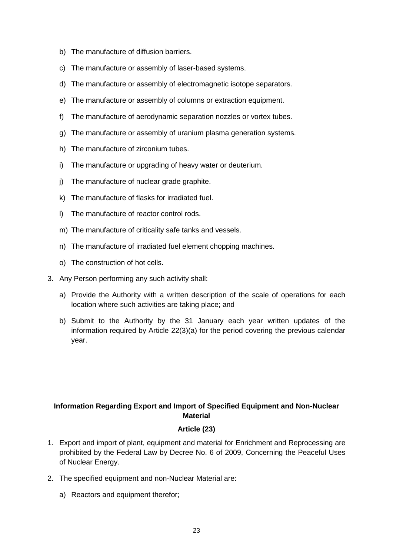- b) The manufacture of diffusion barriers.
- c) The manufacture or assembly of laser-based systems.
- d) The manufacture or assembly of electromagnetic isotope separators.
- e) The manufacture or assembly of columns or extraction equipment.
- f) The manufacture of aerodynamic separation nozzles or vortex tubes.
- g) The manufacture or assembly of uranium plasma generation systems.
- h) The manufacture of zirconium tubes.
- i) The manufacture or upgrading of heavy water or deuterium.
- j) The manufacture of nuclear grade graphite.
- k) The manufacture of flasks for irradiated fuel.
- l) The manufacture of reactor control rods.
- m) The manufacture of criticality safe tanks and vessels.
- n) The manufacture of irradiated fuel element chopping machines.
- o) The construction of hot cells.
- 3. Any Person performing any such activity shall:
	- a) Provide the Authority with a written description of the scale of operations for each location where such activities are taking place; and
	- b) Submit to the Authority by the 31 January each year written updates of the information required by Article 22(3)(a) for the period covering the previous calendar year.

#### <span id="page-22-0"></span>**Information Regarding Export and Import of Specified Equipment and Non-Nuclear Material**

#### **Article (23)**

- <span id="page-22-1"></span>1. Export and import of plant, equipment and material for Enrichment and Reprocessing are prohibited by the Federal Law by Decree No. 6 of 2009, Concerning the Peaceful Uses of Nuclear Energy.
- 2. The specified equipment and non-Nuclear Material are:
	- a) Reactors and equipment therefor;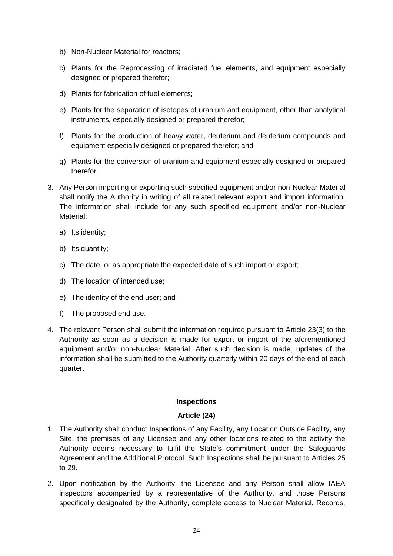- b) Non-Nuclear Material for reactors;
- c) Plants for the Reprocessing of irradiated fuel elements, and equipment especially designed or prepared therefor;
- d) Plants for fabrication of fuel elements;
- e) Plants for the separation of isotopes of uranium and equipment, other than analytical instruments, especially designed or prepared therefor;
- f) Plants for the production of heavy water, deuterium and deuterium compounds and equipment especially designed or prepared therefor; and
- g) Plants for the conversion of uranium and equipment especially designed or prepared therefor.
- 3. Any Person importing or exporting such specified equipment and/or non-Nuclear Material shall notify the Authority in writing of all related relevant export and import information. The information shall include for any such specified equipment and/or non-Nuclear Material:
	- a) Its identity;
	- b) Its quantity;
	- c) The date, or as appropriate the expected date of such import or export;
	- d) The location of intended use;
	- e) The identity of the end user; and
	- f) The proposed end use.
- 4. The relevant Person shall submit the information required pursuant to Article 23(3) to the Authority as soon as a decision is made for export or import of the aforementioned equipment and/or non-Nuclear Material. After such decision is made, updates of the information shall be submitted to the Authority quarterly within 20 days of the end of each quarter.

#### **Inspections**

#### **Article (24)**

- <span id="page-23-1"></span><span id="page-23-0"></span>1. The Authority shall conduct Inspections of any Facility, any Location Outside Facility, any Site, the premises of any Licensee and any other locations related to the activity the Authority deems necessary to fulfil the State's commitment under the Safeguards Agreement and the Additional Protocol. Such Inspections shall be pursuant to Articles 25 to 29.
- 2. Upon notification by the Authority, the Licensee and any Person shall allow IAEA inspectors accompanied by a representative of the Authority, and those Persons specifically designated by the Authority, complete access to Nuclear Material, Records,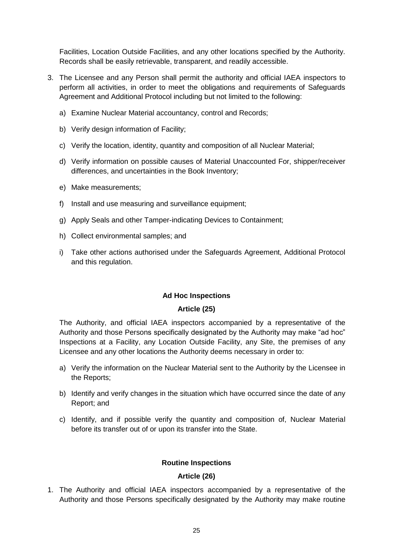Facilities, Location Outside Facilities, and any other locations specified by the Authority. Records shall be easily retrievable, transparent, and readily accessible.

- 3. The Licensee and any Person shall permit the authority and official IAEA inspectors to perform all activities, in order to meet the obligations and requirements of Safeguards Agreement and Additional Protocol including but not limited to the following:
	- a) Examine Nuclear Material accountancy, control and Records;
	- b) Verify design information of Facility;
	- c) Verify the location, identity, quantity and composition of all Nuclear Material;
	- d) Verify information on possible causes of Material Unaccounted For, shipper/receiver differences, and uncertainties in the Book Inventory;
	- e) Make measurements;
	- f) Install and use measuring and surveillance equipment;
	- g) Apply Seals and other Tamper-indicating Devices to Containment;
	- h) Collect environmental samples; and
	- i) Take other actions authorised under the Safeguards Agreement, Additional Protocol and this regulation.

#### **Ad Hoc Inspections**

#### **Article (25)**

<span id="page-24-1"></span><span id="page-24-0"></span>The Authority, and official IAEA inspectors accompanied by a representative of the Authority and those Persons specifically designated by the Authority may make "ad hoc" Inspections at a Facility, any Location Outside Facility, any Site, the premises of any Licensee and any other locations the Authority deems necessary in order to:

- a) Verify the information on the Nuclear Material sent to the Authority by the Licensee in the Reports;
- b) Identify and verify changes in the situation which have occurred since the date of any Report; and
- c) Identify, and if possible verify the quantity and composition of, Nuclear Material before its transfer out of or upon its transfer into the State.

#### **Routine Inspections**

#### **Article (26)**

<span id="page-24-3"></span><span id="page-24-2"></span>1. The Authority and official IAEA inspectors accompanied by a representative of the Authority and those Persons specifically designated by the Authority may make routine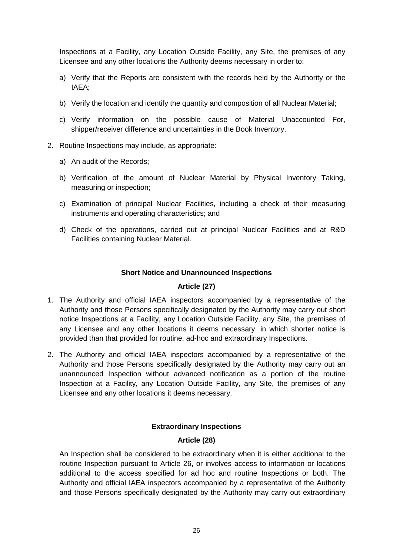Inspections at a Facility, any Location Outside Facility, any Site, the premises of any Licensee and any other locations the Authority deems necessary in order to:

- a) Verify that the Reports are consistent with the records held by the Authority or the IAEA;
- b) Verify the location and identify the quantity and composition of all Nuclear Material;
- c) Verify information on the possible cause of Material Unaccounted For, shipper/receiver difference and uncertainties in the Book Inventory.
- 2. Routine Inspections may include, as appropriate:
	- a) An audit of the Records;
	- b) Verification of the amount of Nuclear Material by Physical Inventory Taking, measuring or inspection;
	- c) Examination of principal Nuclear Facilities, including a check of their measuring instruments and operating characteristics; and
	- d) Check of the operations, carried out at principal Nuclear Facilities and at R&D Facilities containing Nuclear Material.

#### **Short Notice and Unannounced Inspections**

#### **Article (27)**

- <span id="page-25-1"></span><span id="page-25-0"></span>1. The Authority and official IAEA inspectors accompanied by a representative of the Authority and those Persons specifically designated by the Authority may carry out short notice Inspections at a Facility, any Location Outside Facility, any Site, the premises of any Licensee and any other locations it deems necessary, in which shorter notice is provided than that provided for routine, ad-hoc and extraordinary Inspections.
- 2. The Authority and official IAEA inspectors accompanied by a representative of the Authority and those Persons specifically designated by the Authority may carry out an unannounced Inspection without advanced notification as a portion of the routine Inspection at a Facility, any Location Outside Facility, any Site, the premises of any Licensee and any other locations it deems necessary.

#### **Extraordinary Inspections**

#### **Article (28)**

<span id="page-25-3"></span><span id="page-25-2"></span>An Inspection shall be considered to be extraordinary when it is either additional to the routine Inspection pursuant to Article 26, or involves access to information or locations additional to the access specified for ad hoc and routine Inspections or both. The Authority and official IAEA inspectors accompanied by a representative of the Authority and those Persons specifically designated by the Authority may carry out extraordinary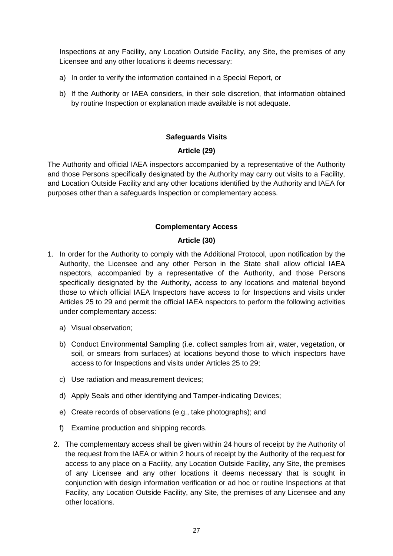Inspections at any Facility, any Location Outside Facility, any Site, the premises of any Licensee and any other locations it deems necessary:

- a) In order to verify the information contained in a Special Report, or
- b) If the Authority or IAEA considers, in their sole discretion, that information obtained by routine Inspection or explanation made available is not adequate.

#### **Safeguards Visits**

#### **Article (29)**

<span id="page-26-1"></span><span id="page-26-0"></span>The Authority and official IAEA inspectors accompanied by a representative of the Authority and those Persons specifically designated by the Authority may carry out visits to a Facility, and Location Outside Facility and any other locations identified by the Authority and IAEA for purposes other than a safeguards Inspection or complementary access.

#### **Complementary Access**

#### **Article (30)**

- <span id="page-26-3"></span><span id="page-26-2"></span>1. In order for the Authority to comply with the Additional Protocol, upon notification by the Authority, the Licensee and any other Person in the State shall allow official IAEA nspectors, accompanied by a representative of the Authority, and those Persons specifically designated by the Authority, access to any locations and material beyond those to which official IAEA Inspectors have access to for Inspections and visits under Articles 25 to 29 and permit the official IAEA nspectors to perform the following activities under complementary access:
	- a) Visual observation;
	- b) Conduct Environmental Sampling (i.e. collect samples from air, water, vegetation, or soil, or smears from surfaces) at locations beyond those to which inspectors have access to for Inspections and visits under Articles 25 to 29;
	- c) Use radiation and measurement devices;
	- d) Apply Seals and other identifying and Tamper-indicating Devices;
	- e) Create records of observations (e.g., take photographs); and
	- f) Examine production and shipping records.
	- 2. The complementary access shall be given within 24 hours of receipt by the Authority of the request from the IAEA or within 2 hours of receipt by the Authority of the request for access to any place on a Facility, any Location Outside Facility, any Site, the premises of any Licensee and any other locations it deems necessary that is sought in conjunction with design information verification or ad hoc or routine Inspections at that Facility, any Location Outside Facility, any Site, the premises of any Licensee and any other locations.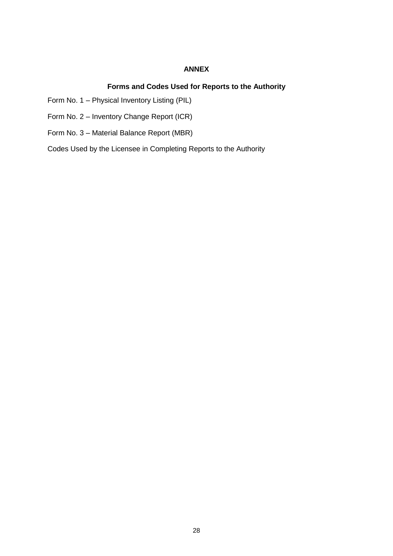#### **ANNEX**

#### **Forms and Codes Used for Reports to the Authority**

- <span id="page-27-1"></span><span id="page-27-0"></span>Form No. 1 – Physical Inventory Listing (PIL)
- Form No. 2 Inventory Change Report (ICR)
- Form No. 3 Material Balance Report (MBR)

Codes Used by the Licensee in Completing Reports to the Authority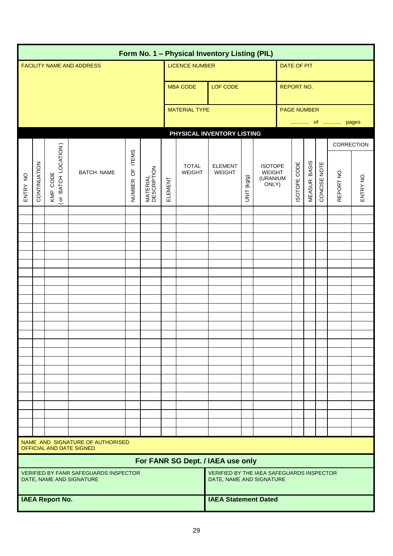| Form No. 1 - Physical Inventory Listing (PIL)                     |                                                              |                                   |                   |                           |                                 |                                                                       |                             |                                   |             |                                               |             |                    |                      |              |            |            |  |
|-------------------------------------------------------------------|--------------------------------------------------------------|-----------------------------------|-------------------|---------------------------|---------------------------------|-----------------------------------------------------------------------|-----------------------------|-----------------------------------|-------------|-----------------------------------------------|-------------|--------------------|----------------------|--------------|------------|------------|--|
| FACILITY NAME AND ADDRESS                                         |                                                              |                                   |                   |                           |                                 |                                                                       | <b>LICENCE NUMBER</b>       |                                   |             |                                               | DATE OF PIT |                    |                      |              |            |            |  |
|                                                                   |                                                              |                                   |                   |                           |                                 |                                                                       | <b>MBA CODE</b>             | LOF CODE                          |             |                                               |             | <b>REPORT NO.</b>  |                      |              |            |            |  |
|                                                                   |                                                              |                                   |                   |                           |                                 |                                                                       | <b>MATERIAL TYPE</b>        |                                   |             |                                               |             | <b>PAGE NUMBER</b> |                      |              |            |            |  |
|                                                                   |                                                              |                                   |                   |                           |                                 |                                                                       |                             |                                   |             |                                               |             |                    |                      |              | of  pages  |            |  |
|                                                                   |                                                              |                                   |                   |                           |                                 |                                                                       |                             | PHYSICAL INVENTORY LISTING        |             |                                               |             |                    |                      |              |            |            |  |
|                                                                   |                                                              |                                   |                   |                           |                                 |                                                                       |                             |                                   |             |                                               |             |                    |                      |              |            | CORRECTION |  |
| ENTRY NO                                                          | CONTINUATION                                                 | ( or BATCH LOCATION )<br>KMP CODE | <b>BATCH NAME</b> | OF ITEMS<br><b>NUMBER</b> | <b>MATERIAL<br/>DESCRIPTION</b> | ELEMENT                                                               | <b>TOTAL</b><br>WEIGHT      | <b>ELEMENT</b><br>WEIGHT          | UNIT (kg/g) | <b>ISOTOPE</b><br>WEIGHT<br>(URANIUM<br>ONLY) |             | SOTOPE CODE        | <b>MEASUR. BASIS</b> | CONCISE NOTE | REPORT NO. | ENTRY NO.  |  |
|                                                                   |                                                              |                                   |                   |                           |                                 |                                                                       |                             |                                   |             |                                               |             |                    |                      |              |            |            |  |
|                                                                   |                                                              |                                   |                   |                           |                                 |                                                                       |                             |                                   |             |                                               |             |                    |                      |              |            |            |  |
|                                                                   |                                                              |                                   |                   |                           |                                 |                                                                       |                             |                                   |             |                                               |             |                    |                      |              |            |            |  |
|                                                                   |                                                              |                                   |                   |                           |                                 |                                                                       |                             |                                   |             |                                               |             |                    |                      |              |            |            |  |
|                                                                   |                                                              |                                   |                   |                           |                                 |                                                                       |                             |                                   |             |                                               |             |                    |                      |              |            |            |  |
|                                                                   |                                                              |                                   |                   |                           |                                 |                                                                       |                             |                                   |             |                                               |             |                    |                      |              |            |            |  |
|                                                                   |                                                              |                                   |                   |                           |                                 |                                                                       |                             |                                   |             |                                               |             |                    |                      |              |            |            |  |
|                                                                   |                                                              |                                   |                   |                           |                                 |                                                                       |                             |                                   |             |                                               |             |                    |                      |              |            |            |  |
|                                                                   |                                                              |                                   |                   |                           |                                 |                                                                       |                             |                                   |             |                                               |             |                    |                      |              |            |            |  |
|                                                                   |                                                              |                                   |                   |                           |                                 |                                                                       |                             |                                   |             |                                               |             |                    |                      |              |            |            |  |
|                                                                   |                                                              |                                   |                   |                           |                                 |                                                                       |                             |                                   |             |                                               |             |                    |                      |              |            |            |  |
|                                                                   |                                                              |                                   |                   |                           |                                 |                                                                       |                             |                                   |             |                                               |             |                    |                      |              |            |            |  |
|                                                                   |                                                              |                                   |                   |                           |                                 |                                                                       |                             |                                   |             |                                               |             |                    |                      |              |            |            |  |
|                                                                   |                                                              |                                   |                   |                           |                                 |                                                                       |                             |                                   |             |                                               |             |                    |                      |              |            |            |  |
|                                                                   |                                                              |                                   |                   |                           |                                 |                                                                       |                             |                                   |             |                                               |             |                    |                      |              |            |            |  |
|                                                                   |                                                              |                                   |                   |                           |                                 |                                                                       |                             |                                   |             |                                               |             |                    |                      |              |            |            |  |
|                                                                   |                                                              |                                   |                   |                           |                                 |                                                                       |                             |                                   |             |                                               |             |                    |                      |              |            |            |  |
|                                                                   |                                                              |                                   |                   |                           |                                 |                                                                       |                             |                                   |             |                                               |             |                    |                      |              |            |            |  |
|                                                                   |                                                              |                                   |                   |                           |                                 |                                                                       |                             |                                   |             |                                               |             |                    |                      |              |            |            |  |
|                                                                   |                                                              |                                   |                   |                           |                                 |                                                                       |                             |                                   |             |                                               |             |                    |                      |              |            |            |  |
|                                                                   | NAME AND SIGNATURE OF AUTHORISED<br>OFFICIAL AND DATE SIGNED |                                   |                   |                           |                                 |                                                                       |                             |                                   |             |                                               |             |                    |                      |              |            |            |  |
|                                                                   |                                                              |                                   |                   |                           |                                 |                                                                       |                             | For FANR SG Dept. / IAEA use only |             |                                               |             |                    |                      |              |            |            |  |
| VERIFIED BY FANR SAFEGUARDS INSPECTOR<br>DATE, NAME AND SIGNATURE |                                                              |                                   |                   |                           |                                 | VERIFIED BY THE IAEA SAFEGUARDS INSPECTOR<br>DATE, NAME AND SIGNATURE |                             |                                   |             |                                               |             |                    |                      |              |            |            |  |
| <b>IAEA Report No.</b>                                            |                                                              |                                   |                   |                           |                                 |                                                                       | <b>IAEA Statement Dated</b> |                                   |             |                                               |             |                    |                      |              |            |            |  |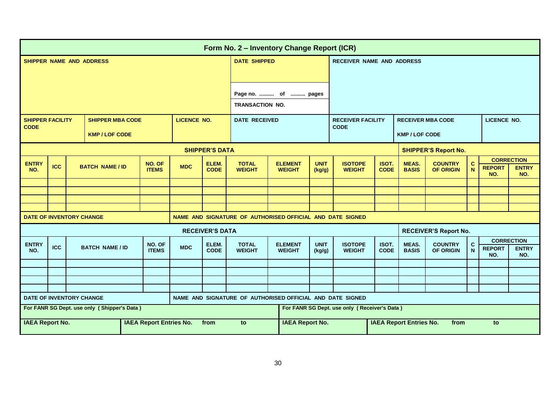| Form No. 2 - Inventory Change Report (ICR)                       |            |  |                                             |  |                        |                    |                                                                  |                                                           |                                              |                       |                                  |                      |                              |                                    |                            |                      |                     |             |  |                   |
|------------------------------------------------------------------|------------|--|---------------------------------------------|--|------------------------|--------------------|------------------------------------------------------------------|-----------------------------------------------------------|----------------------------------------------|-----------------------|----------------------------------|----------------------|------------------------------|------------------------------------|----------------------------|----------------------|---------------------|-------------|--|-------------------|
| SHIPPER NAME AND ADDRESS                                         |            |  |                                             |  |                        |                    | <b>DATE SHIPPED</b>                                              |                                                           |                                              |                       | <b>RECEIVER NAME AND ADDRESS</b> |                      |                              |                                    |                            |                      |                     |             |  |                   |
|                                                                  |            |  |                                             |  |                        |                    |                                                                  |                                                           |                                              |                       |                                  |                      |                              |                                    |                            |                      |                     |             |  |                   |
|                                                                  |            |  |                                             |  |                        |                    |                                                                  |                                                           |                                              |                       |                                  |                      |                              |                                    |                            |                      |                     |             |  |                   |
|                                                                  |            |  |                                             |  |                        |                    |                                                                  |                                                           | Page no.  of  pages                          |                       |                                  |                      |                              |                                    |                            |                      |                     |             |  |                   |
|                                                                  |            |  |                                             |  |                        |                    |                                                                  | <b>TRANSACTION NO.</b>                                    |                                              |                       |                                  |                      |                              |                                    |                            |                      |                     |             |  |                   |
| <b>SHIPPER FACILITY</b>                                          |            |  | <b>SHIPPER MBA CODE</b>                     |  |                        | <b>LICENCE NO.</b> |                                                                  | <b>DATE RECEIVED</b>                                      |                                              |                       | <b>RECEIVER FACILITY</b>         |                      |                              | <b>RECEIVER MBA CODE</b>           |                            | LICENCE NO.          |                     |             |  |                   |
| <b>CODE</b>                                                      |            |  | <b>KMP / LOF CODE</b>                       |  |                        |                    |                                                                  |                                                           |                                              |                       | <b>CODE</b>                      |                      | <b>KMP / LOF CODE</b>        |                                    |                            |                      |                     |             |  |                   |
|                                                                  |            |  |                                             |  |                        |                    | <b>SHIPPER'S DATA</b>                                            |                                                           |                                              |                       |                                  |                      |                              | <b>SHIPPER'S Report No.</b>        |                            |                      |                     |             |  |                   |
| <b>ENTRY</b>                                                     |            |  |                                             |  | NO. OF                 |                    | ELEM.                                                            | <b>TOTAL</b>                                              | <b>ELEMENT</b>                               | <b>UNIT</b>           | <b>ISOTOPE</b>                   | ISOT.                | <b>MEAS.</b>                 |                                    |                            | <b>COUNTRY</b>       |                     | $\mathbf c$ |  | <b>CORRECTION</b> |
| NO.                                                              | <b>ICC</b> |  | <b>BATCH NAME/ID</b>                        |  | <b>ITEMS</b>           | <b>MDC</b>         | <b>CODE</b>                                                      | <b>WEIGHT</b>                                             | <b>WEIGHT</b>                                | (kg/g)                | <b>WEIGHT</b>                    | <b>CODE</b>          | <b>BASIS</b>                 | <b>OF ORIGIN</b>                   | N                          | <b>REPORT</b><br>NO. | <b>ENTRY</b><br>NO. |             |  |                   |
|                                                                  |            |  |                                             |  |                        |                    |                                                                  |                                                           |                                              |                       |                                  |                      |                              |                                    |                            |                      |                     |             |  |                   |
|                                                                  |            |  |                                             |  |                        |                    |                                                                  |                                                           |                                              |                       |                                  |                      |                              |                                    |                            |                      |                     |             |  |                   |
|                                                                  |            |  |                                             |  |                        |                    |                                                                  |                                                           |                                              |                       |                                  |                      |                              |                                    |                            |                      |                     |             |  |                   |
| DATE OF INVENTORY CHANGE                                         |            |  |                                             |  |                        |                    |                                                                  | NAME AND SIGNATURE OF AUTHORISED OFFICIAL AND DATE SIGNED |                                              |                       |                                  |                      |                              |                                    |                            |                      |                     |             |  |                   |
|                                                                  |            |  |                                             |  |                        |                    | <b>RECEIVER'S DATA</b>                                           |                                                           |                                              |                       |                                  |                      | <b>RECEIVER'S Report No.</b> |                                    |                            |                      |                     |             |  |                   |
|                                                                  |            |  |                                             |  |                        |                    |                                                                  |                                                           |                                              |                       |                                  |                      |                              |                                    |                            |                      | <b>CORRECTION</b>   |             |  |                   |
| <b>ENTRY</b><br>NO.                                              | <b>ICC</b> |  | <b>BATCH NAME / ID</b>                      |  | NO. OF<br><b>ITEMS</b> | <b>MDC</b>         | ELEM.<br><b>CODE</b>                                             | <b>TOTAL</b><br><b>WEIGHT</b>                             | <b>ELEMENT</b><br><b>WEIGHT</b>              | <b>UNIT</b><br>(kg/g) | <b>ISOTOPE</b><br><b>WEIGHT</b>  | ISOT.<br><b>CODE</b> | MEAS.<br><b>BASIS</b>        | <b>COUNTRY</b><br><b>OF ORIGIN</b> | $\mathbf c$<br>$\mathbf N$ | <b>REPORT</b><br>NO. | <b>ENTRY</b><br>NO. |             |  |                   |
|                                                                  |            |  |                                             |  |                        |                    |                                                                  |                                                           |                                              |                       |                                  |                      |                              |                                    |                            |                      |                     |             |  |                   |
|                                                                  |            |  |                                             |  |                        |                    |                                                                  |                                                           |                                              |                       |                                  |                      |                              |                                    |                            |                      |                     |             |  |                   |
|                                                                  |            |  |                                             |  |                        |                    |                                                                  |                                                           |                                              |                       |                                  |                      |                              |                                    |                            |                      |                     |             |  |                   |
|                                                                  |            |  |                                             |  |                        |                    |                                                                  |                                                           |                                              |                       |                                  |                      |                              |                                    |                            |                      |                     |             |  |                   |
| <b>DATE OF INVENTORY CHANGE</b>                                  |            |  |                                             |  |                        |                    |                                                                  | NAME AND SIGNATURE OF AUTHORISED OFFICIAL AND DATE SIGNED |                                              |                       |                                  |                      |                              |                                    |                            |                      |                     |             |  |                   |
|                                                                  |            |  | For FANR SG Dept. use only (Shipper's Data) |  |                        |                    |                                                                  |                                                           | For FANR SG Dept. use only (Receiver's Data) |                       |                                  |                      |                              |                                    |                            |                      |                     |             |  |                   |
| <b>IAEA Report No.</b><br><b>IAEA Report Entries No.</b><br>from |            |  |                                             |  |                        | to                 | <b>IAEA Report No.</b><br><b>IAEA Report Entries No.</b><br>from |                                                           |                                              |                       |                                  | to                   |                              |                                    |                            |                      |                     |             |  |                   |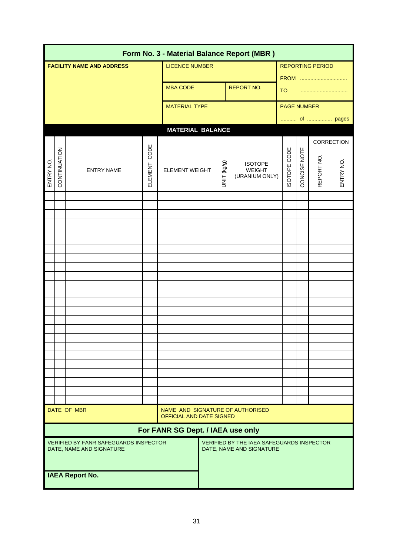| Form No. 3 - Material Balance Report (MBR)                               |              |                        |         |                                   |                   |             |                                                                       |                         |              |           |            |  |  |  |  |
|--------------------------------------------------------------------------|--------------|------------------------|---------|-----------------------------------|-------------------|-------------|-----------------------------------------------------------------------|-------------------------|--------------|-----------|------------|--|--|--|--|
| <b>LICENCE NUMBER</b><br><b>FACILITY NAME AND ADDRESS</b>                |              |                        |         |                                   |                   |             |                                                                       | <b>REPORTING PERIOD</b> |              |           |            |  |  |  |  |
|                                                                          |              |                        |         | <b>MBA CODE</b>                   | <b>REPORT NO.</b> |             |                                                                       |                         |              | FROM      |            |  |  |  |  |
|                                                                          |              |                        |         |                                   |                   |             |                                                                       | <b>TO</b>               |              |           |            |  |  |  |  |
|                                                                          |              |                        |         | <b>MATERIAL TYPE</b>              |                   |             |                                                                       | <b>PAGE NUMBER</b>      |              |           |            |  |  |  |  |
|                                                                          |              |                        |         |                                   |                   |             |                                                                       | of  pages               |              |           |            |  |  |  |  |
|                                                                          |              |                        |         | <b>MATERIAL BALANCE</b>           |                   |             |                                                                       |                         |              |           |            |  |  |  |  |
|                                                                          |              |                        |         |                                   |                   |             |                                                                       |                         |              |           | CORRECTION |  |  |  |  |
|                                                                          | CONTINUATION |                        | CODE    |                                   |                   |             |                                                                       | SOTOPE CODE             | CONCISE NOTE |           |            |  |  |  |  |
| ENTRY NO.                                                                |              | <b>ENTRY NAME</b>      | ELEMENT | <b>ELEMENT WEIGHT</b>             |                   | UNIT (kg/g) | <b>ISOTOPE</b><br>WEIGHT<br>(URANIUM ONLY)                            |                         |              | REPORT NO | ENTRY NO.  |  |  |  |  |
|                                                                          |              |                        |         |                                   |                   |             |                                                                       |                         |              |           |            |  |  |  |  |
|                                                                          |              |                        |         |                                   |                   |             |                                                                       |                         |              |           |            |  |  |  |  |
|                                                                          |              |                        |         |                                   |                   |             |                                                                       |                         |              |           |            |  |  |  |  |
|                                                                          |              |                        |         |                                   |                   |             |                                                                       |                         |              |           |            |  |  |  |  |
|                                                                          |              |                        |         |                                   |                   |             |                                                                       |                         |              |           |            |  |  |  |  |
|                                                                          |              |                        |         |                                   |                   |             |                                                                       |                         |              |           |            |  |  |  |  |
|                                                                          |              |                        |         |                                   |                   |             |                                                                       |                         |              |           |            |  |  |  |  |
|                                                                          |              |                        |         |                                   |                   |             |                                                                       |                         |              |           |            |  |  |  |  |
|                                                                          |              |                        |         |                                   |                   |             |                                                                       |                         |              |           |            |  |  |  |  |
|                                                                          |              |                        |         |                                   |                   |             |                                                                       |                         |              |           |            |  |  |  |  |
|                                                                          |              |                        |         |                                   |                   |             |                                                                       |                         |              |           |            |  |  |  |  |
|                                                                          |              |                        |         |                                   |                   |             |                                                                       |                         |              |           |            |  |  |  |  |
|                                                                          |              |                        |         |                                   |                   |             |                                                                       |                         |              |           |            |  |  |  |  |
|                                                                          |              |                        |         |                                   |                   |             |                                                                       |                         |              |           |            |  |  |  |  |
|                                                                          |              |                        |         |                                   |                   |             |                                                                       |                         |              |           |            |  |  |  |  |
|                                                                          |              |                        |         |                                   |                   |             |                                                                       |                         |              |           |            |  |  |  |  |
|                                                                          |              |                        |         |                                   |                   |             |                                                                       |                         |              |           |            |  |  |  |  |
|                                                                          |              |                        |         |                                   |                   |             |                                                                       |                         |              |           |            |  |  |  |  |
|                                                                          |              | DATE OF MBR            |         | OFFICIAL AND DATE SIGNED          |                   |             | NAME AND SIGNATURE OF AUTHORISED                                      |                         |              |           |            |  |  |  |  |
|                                                                          |              |                        |         | For FANR SG Dept. / IAEA use only |                   |             |                                                                       |                         |              |           |            |  |  |  |  |
| <b>VERIFIED BY FANR SAFEGUARDS INSPECTOR</b><br>DATE, NAME AND SIGNATURE |              |                        |         |                                   |                   |             | VERIFIED BY THE IAEA SAFEGUARDS INSPECTOR<br>DATE, NAME AND SIGNATURE |                         |              |           |            |  |  |  |  |
|                                                                          |              | <b>IAEA Report No.</b> |         |                                   |                   |             |                                                                       |                         |              |           |            |  |  |  |  |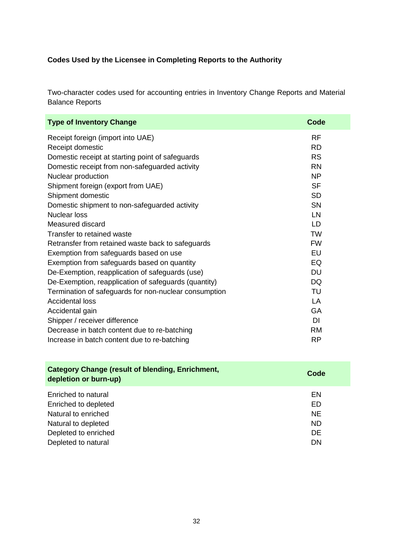#### **Codes Used by the Licensee in Completing Reports to the Authority**

Two-character codes used for accounting entries in Inventory Change Reports and Material Balance Reports

| <b>Type of Inventory Change</b>                       | Code      |
|-------------------------------------------------------|-----------|
| Receipt foreign (import into UAE)                     | <b>RF</b> |
| Receipt domestic                                      | <b>RD</b> |
| Domestic receipt at starting point of safeguards      | <b>RS</b> |
| Domestic receipt from non-safeguarded activity        | <b>RN</b> |
| Nuclear production                                    | <b>NP</b> |
| Shipment foreign (export from UAE)                    | <b>SF</b> |
| Shipment domestic                                     | <b>SD</b> |
| Domestic shipment to non-safeguarded activity         | <b>SN</b> |
| <b>Nuclear loss</b>                                   | LN        |
| Measured discard                                      | LD        |
| Transfer to retained waste                            | <b>TW</b> |
| Retransfer from retained waste back to safeguards     | <b>FW</b> |
| Exemption from safeguards based on use                | EU        |
| Exemption from safeguards based on quantity           | EQ        |
| De-Exemption, reapplication of safeguards (use)       | <b>DU</b> |
| De-Exemption, reapplication of safeguards (quantity)  | <b>DQ</b> |
| Termination of safeguards for non-nuclear consumption | TU        |
| <b>Accidental loss</b>                                | LA        |
| Accidental gain                                       | <b>GA</b> |
| Shipper / receiver difference                         | DI        |
| Decrease in batch content due to re-batching          | <b>RM</b> |
| Increase in batch content due to re-batching          | <b>RP</b> |

| <b>Category Change (result of blending, Enrichment,</b><br>depletion or burn-up) | Code      |
|----------------------------------------------------------------------------------|-----------|
| Enriched to natural                                                              | EN        |
| Enriched to depleted                                                             | ED        |
| Natural to enriched                                                              | <b>NE</b> |
| Natural to depleted                                                              | <b>ND</b> |
| Depleted to enriched                                                             | DE.       |
| Depleted to natural                                                              | <b>DN</b> |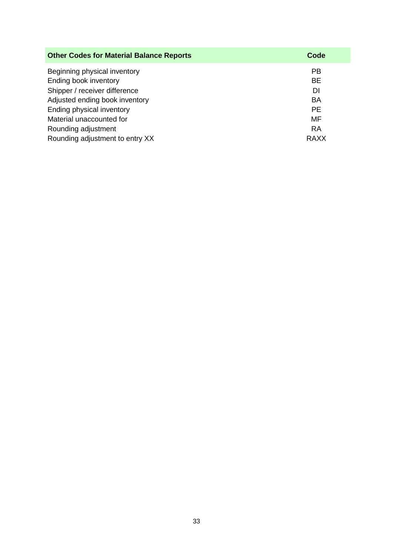| <b>Other Codes for Material Balance Reports</b> | Code      |
|-------------------------------------------------|-----------|
| Beginning physical inventory                    | РB        |
| Ending book inventory                           | <b>BE</b> |
| Shipper / receiver difference                   | DI        |
| Adjusted ending book inventory                  | <b>BA</b> |
| Ending physical inventory                       | <b>PE</b> |
| Material unaccounted for                        | <b>MF</b> |
| Rounding adjustment                             | <b>RA</b> |
| Rounding adjustment to entry XX                 | RAXX      |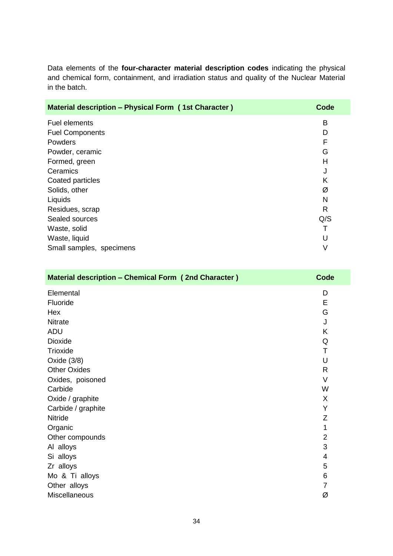Data elements of the **four-character material description codes** indicating the physical and chemical form, containment, and irradiation status and quality of the Nuclear Material in the batch.

| <b>Material description - Physical Form (1st Character)</b> | <b>Code</b> |
|-------------------------------------------------------------|-------------|
| <b>Fuel elements</b>                                        | В           |
| <b>Fuel Components</b>                                      | D           |
| <b>Powders</b>                                              | F           |
| Powder, ceramic                                             | G           |
| Formed, green                                               | Н           |
| Ceramics                                                    | J           |
| Coated particles                                            | K           |
| Solids, other                                               | Ø           |
| Liquids                                                     | N           |
| Residues, scrap                                             | R           |
| Sealed sources                                              | Q/S         |
| Waste, solid                                                |             |
| Waste, liquid                                               | U           |
| Small samples, specimens                                    | V           |

| <b>Material description - Chemical Form (2nd Character)</b> | <b>Code</b>    |
|-------------------------------------------------------------|----------------|
| Elemental                                                   | D              |
| Fluoride                                                    | E              |
| Hex                                                         | G              |
| <b>Nitrate</b>                                              | J              |
| <b>ADU</b>                                                  | K              |
| Dioxide                                                     | Q              |
| Trioxide                                                    | Τ              |
| Oxide $(3/8)$                                               | U              |
| <b>Other Oxides</b>                                         | R              |
| Oxides, poisoned                                            | V              |
| Carbide                                                     | W              |
| Oxide / graphite                                            | X              |
| Carbide / graphite                                          | Y              |
| Nitride                                                     | Ζ              |
| Organic                                                     | 1              |
| Other compounds                                             | 2              |
| Al alloys                                                   | 3              |
| Si alloys                                                   | 4              |
| Zr alloys                                                   | 5              |
| Mo & Ti alloys                                              | 6              |
| Other alloys                                                | $\overline{7}$ |
| <b>Miscellaneous</b>                                        | Ø              |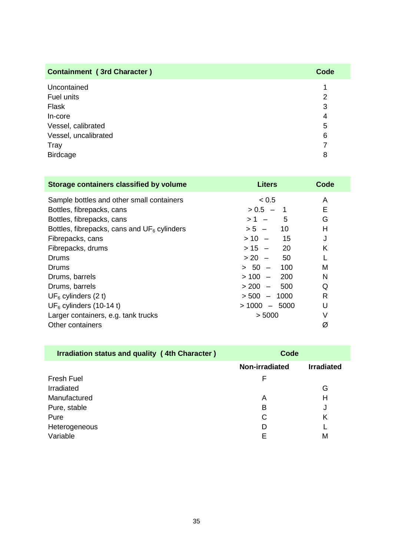| <b>Containment (3rd Character)</b> | <b>Code</b> |
|------------------------------------|-------------|
| Uncontained                        |             |
| Fuel units                         | 2           |
| Flask                              | 3           |
| In-core                            | 4           |
| Vessel, calibrated                 | 5           |
| Vessel, uncalibrated               | 6           |
| Tray                               |             |
| <b>Birdcage</b>                    | 8           |

| Storage containers classified by volume        | <b>Liters</b>          | Code |
|------------------------------------------------|------------------------|------|
| Sample bottles and other small containers      | < 0.5                  | A    |
| Bottles, fibrepacks, cans                      | $> 0.5 -$              | Е    |
| Bottles, fibrepacks, cans                      | $> 1 -$<br>5           | G    |
| Bottles, fibrepacks, cans and $UF_6$ cylinders | $> 5 -$<br>10          | H    |
| Fibrepacks, cans                               | $> 10 - 15$            | J    |
| Fibrepacks, drums                              | $> 15 - 20$            | K    |
| Drums                                          | $> 20 -$<br>50         |      |
| Drums                                          | $> 50 -$<br>100        | М    |
| Drums, barrels                                 | $>100 -$<br><b>200</b> | N    |
| Drums, barrels                                 | 500<br>$> 200 -$       | Q    |
| $UF6$ cylinders (2 t)                          | $> 500 - 1000$         | R    |
| $UF6$ cylinders (10-14 t)                      | $> 1000 - 5000$        | U    |
| Larger containers, e.g. tank trucks            | > 5000                 | V    |
| Other containers                               |                        | Ø    |

| Irradiation status and quality (4th Character) | <b>Code</b>    |                   |
|------------------------------------------------|----------------|-------------------|
|                                                | Non-irradiated | <b>Irradiated</b> |
| <b>Fresh Fuel</b>                              | F              |                   |
| Irradiated                                     |                | G                 |
| Manufactured                                   | A              | н                 |
| Pure, stable                                   | в              | J                 |
| Pure                                           | С              | Κ                 |
| Heterogeneous                                  | D              |                   |
| Variable                                       | F              | м                 |